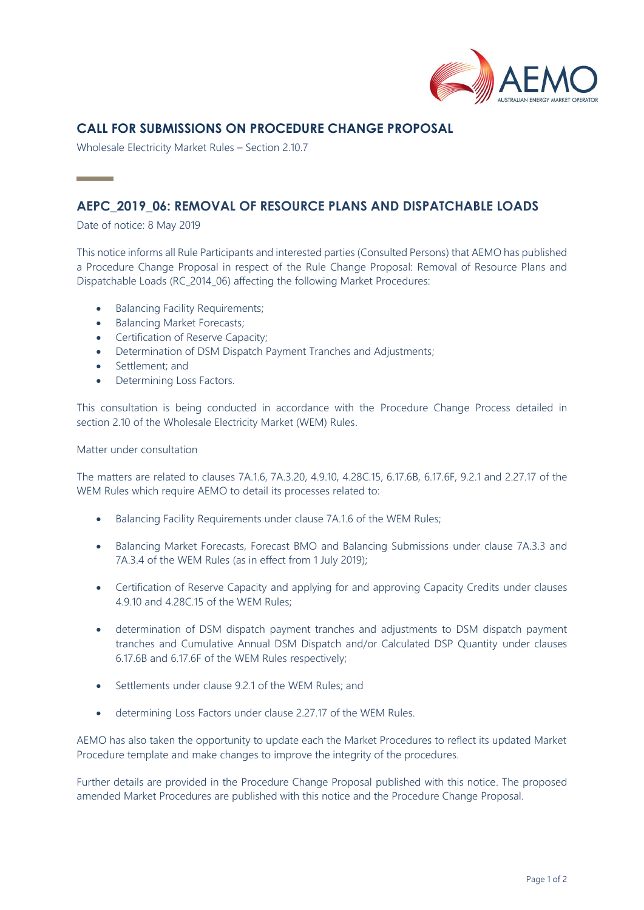

# **CALL FOR SUBMISSIONS ON PROCEDURE CHANGE PROPOSAL**

Wholesale Electricity Market Rules – Section 2.10.7

# **AEPC\_2019\_06: REMOVAL OF RESOURCE PLANS AND DISPATCHABLE LOADS**

Date of notice: 8 May 2019

**Contract Contract** 

This notice informs all Rule Participants and interested parties (Consulted Persons) that AEMO has published a Procedure Change Proposal in respect of the Rule Change Proposal: Removal of Resource Plans and Dispatchable Loads (RC\_2014\_06) affecting the following Market Procedures:

- Balancing Facility Requirements;
- Balancing Market Forecasts;
- Certification of Reserve Capacity;
- Determination of DSM Dispatch Payment Tranches and Adjustments;
- Settlement: and
- Determining Loss Factors.

This consultation is being conducted in accordance with the Procedure Change Process detailed in section 2.10 of the Wholesale Electricity Market (WEM) Rules.

Matter under consultation

The matters are related to clauses 7A.1.6, 7A.3.20, 4.9.10, 4.28C.15, 6.17.6B, 6.17.6F, 9.2.1 and 2.27.17 of the WEM Rules which require AEMO to detail its processes related to:

- Balancing Facility Requirements under clause 7A.1.6 of the WEM Rules;
- Balancing Market Forecasts, Forecast BMO and Balancing Submissions under clause 7A.3.3 and 7A.3.4 of the WEM Rules (as in effect from 1 July 2019);
- Certification of Reserve Capacity and applying for and approving Capacity Credits under clauses 4.9.10 and 4.28C.15 of the WEM Rules;
- determination of DSM dispatch payment tranches and adjustments to DSM dispatch payment tranches and Cumulative Annual DSM Dispatch and/or Calculated DSP Quantity under clauses 6.17.6B and 6.17.6F of the WEM Rules respectively;
- Settlements under clause 9.2.1 of the WEM Rules; and
- determining Loss Factors under clause 2.27.17 of the WEM Rules.

AEMO has also taken the opportunity to update each the Market Procedures to reflect its updated Market Procedure template and make changes to improve the integrity of the procedures.

Further details are provided in the Procedure Change Proposal published with this notice. The proposed amended Market Procedures are published with this notice and the Procedure Change Proposal.